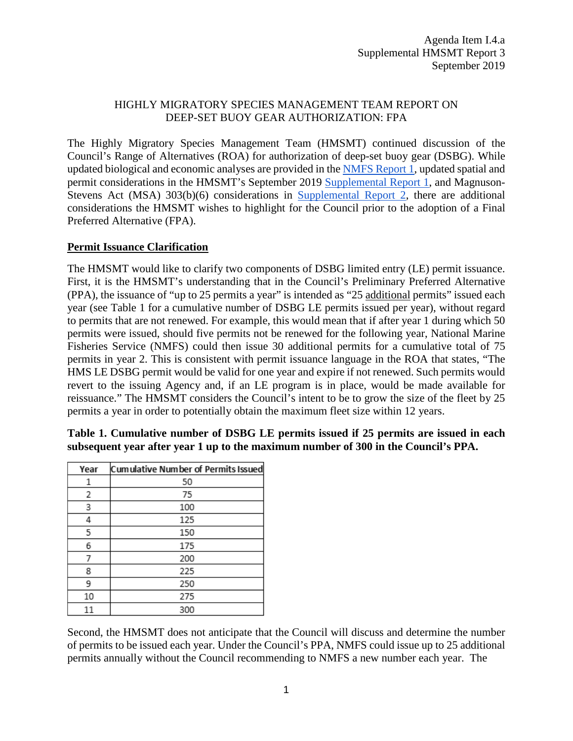# HIGHLY MIGRATORY SPECIES MANAGEMENT TEAM REPORT ON DEEP-SET BUOY GEAR AUTHORIZATION: FPA

The Highly Migratory Species Management Team (HMSMT) continued discussion of the Council's Range of Alternatives (ROA) for authorization of deep-set buoy gear (DSBG). While updated biological and economic analyses are provided in th[e NMFS Report 1,](https://www.pcouncil.org/wp-content/uploads/2019/08/I4a_NMFS_Rpt1_PDEIS_for_Authorization_of_DSBG_SEP2019BB.pdf) updated spatial and permit considerations in the HMSMT's September 2019 [Supplemental Report 1,](https://www.pcouncil.org/wp-content/uploads/2019/09/I4a_Supp_HMSMT_Rpt1_DSBG_ROA__SEP2019BB.pdf) and Magnuson-Stevens Act (MSA) 303(b)(6) considerations in [Supplemental Report 2,](https://www.pcouncil.org/wp-content/uploads/2019/09/I4a_Sup_HMSMT_Rpt2_SEPT2019BB.pdf) there are additional considerations the HMSMT wishes to highlight for the Council prior to the adoption of a Final Preferred Alternative (FPA).

# **Permit Issuance Clarification**

The HMSMT would like to clarify two components of DSBG limited entry (LE) permit issuance. First, it is the HMSMT's understanding that in the Council's Preliminary Preferred Alternative (PPA), the issuance of "up to 25 permits a year" is intended as "25 additional permits" issued each year (see Table 1 for a cumulative number of DSBG LE permits issued per year), without regard to permits that are not renewed. For example, this would mean that if after year 1 during which 50 permits were issued, should five permits not be renewed for the following year, National Marine Fisheries Service (NMFS) could then issue 30 additional permits for a cumulative total of 75 permits in year 2. This is consistent with permit issuance language in the ROA that states, "The HMS LE DSBG permit would be valid for one year and expire if not renewed. Such permits would revert to the issuing Agency and, if an LE program is in place, would be made available for reissuance." The HMSMT considers the Council's intent to be to grow the size of the fleet by 25 permits a year in order to potentially obtain the maximum fleet size within 12 years.

| Year | Cumulative Number of Permits Issued |
|------|-------------------------------------|
| 1    | 50                                  |
| 2    | 75                                  |
| 3    | 100                                 |
| 4    | 125                                 |
| 5    | 150                                 |
| 6    | 175                                 |
| 7    | 200                                 |
| 8    | 225                                 |
| 9    | 250                                 |
| 10   | 275                                 |
| 11   | 300                                 |

# **Table 1. Cumulative number of DSBG LE permits issued if 25 permits are issued in each subsequent year after year 1 up to the maximum number of 300 in the Council's PPA.**

Second, the HMSMT does not anticipate that the Council will discuss and determine the number of permits to be issued each year. Under the Council's PPA, NMFS could issue up to 25 additional permits annually without the Council recommending to NMFS a new number each year. The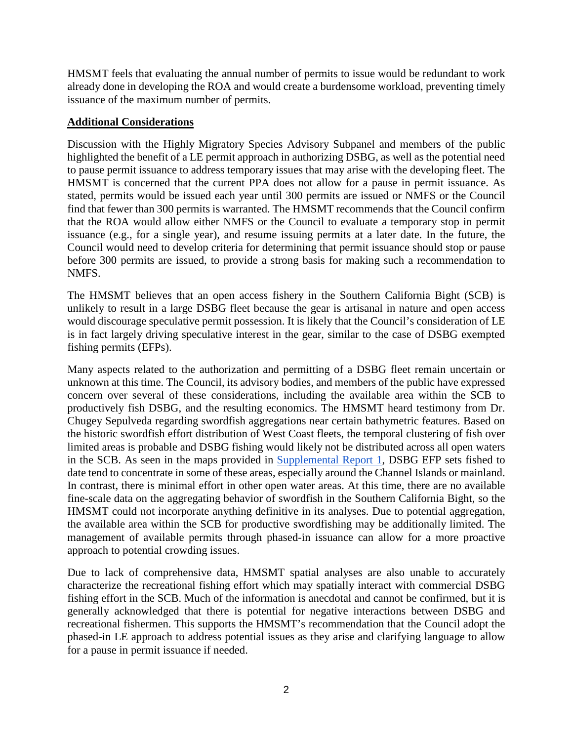HMSMT feels that evaluating the annual number of permits to issue would be redundant to work already done in developing the ROA and would create a burdensome workload, preventing timely issuance of the maximum number of permits.

### **Additional Considerations**

Discussion with the Highly Migratory Species Advisory Subpanel and members of the public highlighted the benefit of a LE permit approach in authorizing DSBG, as well as the potential need to pause permit issuance to address temporary issues that may arise with the developing fleet. The HMSMT is concerned that the current PPA does not allow for a pause in permit issuance. As stated, permits would be issued each year until 300 permits are issued or NMFS or the Council find that fewer than 300 permits is warranted. The HMSMT recommends that the Council confirm that the ROA would allow either NMFS or the Council to evaluate a temporary stop in permit issuance (e.g., for a single year), and resume issuing permits at a later date. In the future, the Council would need to develop criteria for determining that permit issuance should stop or pause before 300 permits are issued, to provide a strong basis for making such a recommendation to NMFS.

The HMSMT believes that an open access fishery in the Southern California Bight (SCB) is unlikely to result in a large DSBG fleet because the gear is artisanal in nature and open access would discourage speculative permit possession. It is likely that the Council's consideration of LE is in fact largely driving speculative interest in the gear, similar to the case of DSBG exempted fishing permits (EFPs).

Many aspects related to the authorization and permitting of a DSBG fleet remain uncertain or unknown at this time. The Council, its advisory bodies, and members of the public have expressed concern over several of these considerations, including the available area within the SCB to productively fish DSBG, and the resulting economics. The HMSMT heard testimony from Dr. Chugey Sepulveda regarding swordfish aggregations near certain bathymetric features. Based on the historic swordfish effort distribution of West Coast fleets, the temporal clustering of fish over limited areas is probable and DSBG fishing would likely not be distributed across all open waters in the SCB. As seen in the maps provided in [Supplemental Report 1,](https://www.pcouncil.org/wp-content/uploads/2019/09/I4a_Supp_HMSMT_Rpt1_DSBG_ROA__SEP2019BB.pdf) DSBG EFP sets fished to date tend to concentrate in some of these areas, especially around the Channel Islands or mainland. In contrast, there is minimal effort in other open water areas. At this time, there are no available fine-scale data on the aggregating behavior of swordfish in the Southern California Bight, so the HMSMT could not incorporate anything definitive in its analyses. Due to potential aggregation, the available area within the SCB for productive swordfishing may be additionally limited. The management of available permits through phased-in issuance can allow for a more proactive approach to potential crowding issues.

Due to lack of comprehensive data, HMSMT spatial analyses are also unable to accurately characterize the recreational fishing effort which may spatially interact with commercial DSBG fishing effort in the SCB. Much of the information is anecdotal and cannot be confirmed, but it is generally acknowledged that there is potential for negative interactions between DSBG and recreational fishermen. This supports the HMSMT's recommendation that the Council adopt the phased-in LE approach to address potential issues as they arise and clarifying language to allow for a pause in permit issuance if needed.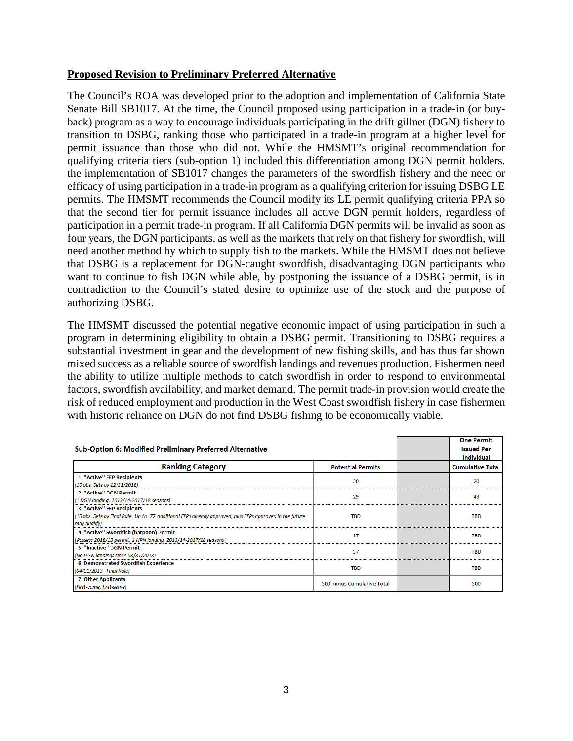#### **Proposed Revision to Preliminary Preferred Alternative**

The Council's ROA was developed prior to the adoption and implementation of California State Senate Bill SB1017. At the time, the Council proposed using participation in a trade-in (or buyback) program as a way to encourage individuals participating in the drift gillnet (DGN) fishery to transition to DSBG, ranking those who participated in a trade-in program at a higher level for permit issuance than those who did not. While the HMSMT's original recommendation for qualifying criteria tiers (sub-option 1) included this differentiation among DGN permit holders, the implementation of SB1017 changes the parameters of the swordfish fishery and the need or efficacy of using participation in a trade-in program as a qualifying criterion for issuing DSBG LE permits. The HMSMT recommends the Council modify its LE permit qualifying criteria PPA so that the second tier for permit issuance includes all active DGN permit holders, regardless of participation in a permit trade-in program. If all California DGN permits will be invalid as soon as four years, the DGN participants, as well as the markets that rely on that fishery for swordfish, will need another method by which to supply fish to the markets. While the HMSMT does not believe that DSBG is a replacement for DGN-caught swordfish, disadvantaging DGN participants who want to continue to fish DGN while able, by postponing the issuance of a DSBG permit, is in contradiction to the Council's stated desire to optimize use of the stock and the purpose of authorizing DSBG.

The HMSMT discussed the potential negative economic impact of using participation in such a program in determining eligibility to obtain a DSBG permit. Transitioning to DSBG requires a substantial investment in gear and the development of new fishing skills, and has thus far shown mixed success as a reliable source of swordfish landings and revenues production. Fishermen need the ability to utilize multiple methods to catch swordfish in order to respond to environmental factors, swordfish availability, and market demand. The permit trade-in provision would create the risk of reduced employment and production in the West Coast swordfish fishery in case fishermen with historic reliance on DGN do not find DSBG fishing to be economically viable.

| Sub-Option 6: Modified Preliminary Preferred Alternative                                                                                               |                            |  | <b>One Permit</b><br><b>Issued Per</b><br><b>Individual</b> |
|--------------------------------------------------------------------------------------------------------------------------------------------------------|----------------------------|--|-------------------------------------------------------------|
| <b>Ranking Category</b>                                                                                                                                | <b>Potential Permits</b>   |  | <b>Cumulative Total</b>                                     |
| 1. "Active" EFP Recipients<br>(10 obs. Sets by 12/31/2018)                                                                                             | 20                         |  | 20                                                          |
| 2. "Active" DGN Permit<br>(1 DGN landing, 2013/14-2017/18 seasons)                                                                                     | 29                         |  | 43                                                          |
| 3. "Active" EFP Recipients<br>(10 obs. Sets by Final Rule. Up to 77 additional EFPs already approved, plus EFPs approved in the future<br>may qualify) | <b>TBD</b>                 |  | <b>TBD</b>                                                  |
| 4. "Active" Swordfish (harpoon) Permit<br>(Possess 2018/19 permit, 1 HPN landing, 2013/14-2017/18 seasons)                                             | 17                         |  | <b>TBD</b>                                                  |
| 5. "Inactive" DGN Permit<br>(No DGN landings since 03/31/2013)                                                                                         | 37                         |  | <b>TBD</b>                                                  |
| 6. Demonstrated Swordfish Experience<br>(04/01/2013 - Final Rule)                                                                                      | <b>TBD</b>                 |  | <b>TBD</b>                                                  |
| 7. Other Applicants<br>(First-come, first-serve)                                                                                                       | 300 minus Cumulative Total |  | 300                                                         |